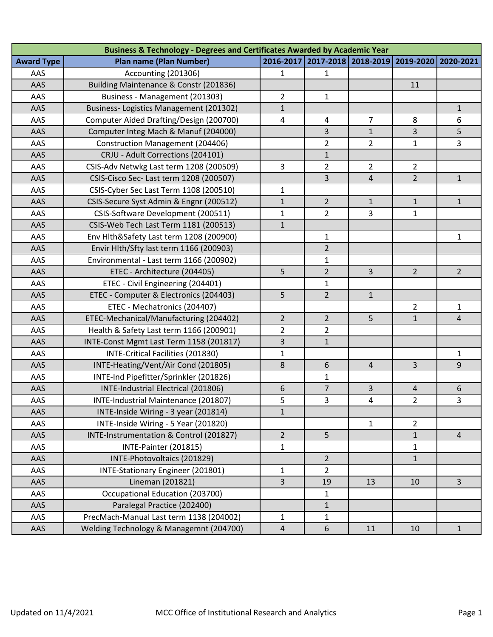| <b>Business &amp; Technology - Degrees and Certificates Awarded by Academic Year</b> |                                         |                |                     |                |                |                |
|--------------------------------------------------------------------------------------|-----------------------------------------|----------------|---------------------|----------------|----------------|----------------|
| <b>Award Type</b>                                                                    | <b>Plan name (Plan Number)</b>          | 2016-2017      | 2017-2018 2018-2019 |                | 2019-2020      | 2020-2021      |
| AAS                                                                                  | Accounting (201306)                     | 1              | $\mathbf{1}$        |                |                |                |
| AAS                                                                                  | Building Maintenance & Constr (201836)  |                |                     |                | 11             |                |
| AAS                                                                                  | Business - Management (201303)          | $\overline{2}$ | $\mathbf{1}$        |                |                |                |
| AAS                                                                                  | Business-Logistics Management (201302)  | $\mathbf{1}$   |                     |                |                | $\mathbf{1}$   |
| AAS                                                                                  | Computer Aided Drafting/Design (200700) | $\overline{4}$ | $\overline{4}$      | $\overline{7}$ | 8              | 6              |
| AAS                                                                                  | Computer Integ Mach & Manuf (204000)    |                | 3                   | $\mathbf{1}$   | 3              | 5              |
| AAS                                                                                  | <b>Construction Management (204406)</b> |                | $\overline{2}$      | $\overline{2}$ | 1              | 3              |
| AAS                                                                                  | CRJU - Adult Corrections (204101)       |                | $\mathbf{1}$        |                |                |                |
| AAS                                                                                  | CSIS-Adv Netwkg Last term 1208 (200509) | 3              | $\overline{2}$      | $\overline{2}$ | $\overline{2}$ |                |
| AAS                                                                                  | CSIS-Cisco Sec- Last term 1208 (200507) |                | 3                   | $\overline{4}$ | $\overline{2}$ | $\mathbf{1}$   |
| AAS                                                                                  | CSIS-Cyber Sec Last Term 1108 (200510)  | $\mathbf 1$    |                     |                |                |                |
| AAS                                                                                  | CSIS-Secure Syst Admin & Engnr (200512) | $\mathbf{1}$   | $\overline{2}$      | $\mathbf{1}$   | $\mathbf{1}$   | $\mathbf{1}$   |
| AAS                                                                                  | CSIS-Software Development (200511)      | $\mathbf{1}$   | $\overline{2}$      | 3              | $\mathbf{1}$   |                |
| AAS                                                                                  | CSIS-Web Tech Last Term 1181 (200513)   | $\mathbf{1}$   |                     |                |                |                |
| AAS                                                                                  | Env Hlth&Safety Last term 1208 (200900) |                | $\mathbf{1}$        |                |                | 1              |
| AAS                                                                                  | Envir Hlth/Sfty last term 1166 (200903) |                | $\overline{2}$      |                |                |                |
| AAS                                                                                  | Environmental - Last term 1166 (200902) |                | $\mathbf{1}$        |                |                |                |
| AAS                                                                                  | ETEC - Architecture (204405)            | 5              | $\overline{2}$      | 3              | $\overline{2}$ | 2 <sup>1</sup> |
| AAS                                                                                  | ETEC - Civil Engineering (204401)       |                | 1                   |                |                |                |
| AAS                                                                                  | ETEC - Computer & Electronics (204403)  | 5              | $\overline{2}$      | $\mathbf{1}$   |                |                |
| AAS                                                                                  | ETEC - Mechatronics (204407)            |                |                     |                | $\overline{2}$ | $\mathbf{1}$   |
| AAS                                                                                  | ETEC-Mechanical/Manufacturing (204402)  | $\overline{2}$ | $\overline{2}$      | 5              | $\mathbf{1}$   | 4              |
| AAS                                                                                  | Health & Safety Last term 1166 (200901) | $\overline{2}$ | $\overline{2}$      |                |                |                |
| AAS                                                                                  | INTE-Const Mgmt Last Term 1158 (201817) | 3              | $\mathbf{1}$        |                |                |                |
| AAS                                                                                  | INTE-Critical Facilities (201830)       | $\mathbf{1}$   |                     |                |                | 1              |
| AAS                                                                                  | INTE-Heating/Vent/Air Cond (201805)     | 8              | 6                   | $\overline{4}$ | 3              | 9              |
| AAS                                                                                  | INTE-Ind Pipefitter/Sprinkler (201826)  |                | 1                   |                |                |                |
| AAS                                                                                  | INTE-Industrial Electrical (201806)     | 6              | $\overline{7}$      | 3              | 4              | 6              |
| AAS                                                                                  | INTE-Industrial Maintenance (201807)    | 5              | 3                   | 4              | $\overline{2}$ | 3              |
| AAS                                                                                  | INTE-Inside Wiring - 3 year (201814)    | $\mathbf{1}$   |                     |                |                |                |
| AAS                                                                                  | INTE-Inside Wiring - 5 Year (201820)    |                |                     | $\mathbf{1}$   | $\overline{2}$ |                |
| AAS                                                                                  | INTE-Instrumentation & Control (201827) | $\overline{2}$ | 5                   |                | $\mathbf{1}$   | 4              |
| AAS                                                                                  | INTE-Painter (201815)                   | $\mathbf{1}$   |                     |                | $\mathbf{1}$   |                |
| AAS                                                                                  | INTE-Photovoltaics (201829)             |                | $\overline{2}$      |                | $\mathbf{1}$   |                |
| AAS                                                                                  | INTE-Stationary Engineer (201801)       | $\mathbf{1}$   | $\overline{2}$      |                |                |                |
| AAS                                                                                  | Lineman (201821)                        | 3              | 19                  | 13             | 10             | 3              |
| AAS                                                                                  | Occupational Education (203700)         |                | 1                   |                |                |                |
| AAS                                                                                  | Paralegal Practice (202400)             |                | $\mathbf{1}$        |                |                |                |
| AAS                                                                                  | PrecMach-Manual Last term 1138 (204002) | $\mathbf 1$    | $\mathbf{1}$        |                |                |                |
| AAS                                                                                  | Welding Technology & Managemnt (204700) | $\sqrt{4}$     | 6                   | 11             | 10             | $\mathbf{1}$   |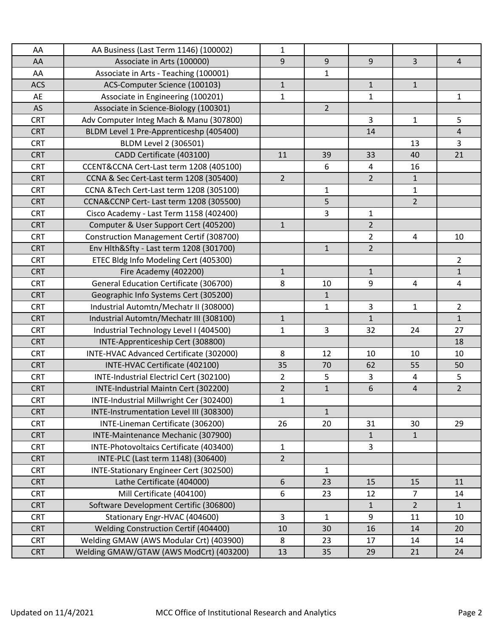| AA         | AA Business (Last Term 1146) (100002)   | $\mathbf{1}$   |                |                |                |                |
|------------|-----------------------------------------|----------------|----------------|----------------|----------------|----------------|
| AA         | Associate in Arts (100000)              | 9              | 9              | 9              | $\overline{3}$ | $\overline{4}$ |
| AA         | Associate in Arts - Teaching (100001)   |                | $\mathbf{1}$   |                |                |                |
| <b>ACS</b> | ACS-Computer Science (100103)           | $\mathbf{1}$   |                | $\mathbf{1}$   | $\mathbf{1}$   |                |
| AE         | Associate in Engineering (100201)       | $\mathbf{1}$   |                | 1              |                | $\mathbf{1}$   |
| AS         | Associate in Science-Biology (100301)   |                | $\overline{2}$ |                |                |                |
| <b>CRT</b> | Adv Computer Integ Mach & Manu (307800) |                |                | 3              | 1              | 5              |
| <b>CRT</b> | BLDM Level 1 Pre-Apprenticeshp (405400) |                |                | 14             |                | $\overline{4}$ |
| <b>CRT</b> | BLDM Level 2 (306501)                   |                |                |                | 13             | 3              |
| <b>CRT</b> | CADD Certificate (403100)               | 11             | 39             | 33             | 40             | 21             |
| <b>CRT</b> | CCENT&CCNA Cert-Last term 1208 (405100) |                | 6              | 4              | 16             |                |
| <b>CRT</b> | CCNA & Sec Cert-Last term 1208 (305400) | $\overline{2}$ |                | $\overline{2}$ | $\mathbf{1}$   |                |
| <b>CRT</b> | CCNA &Tech Cert-Last term 1208 (305100) |                | $\mathbf{1}$   |                | $\mathbf{1}$   |                |
| <b>CRT</b> | CCNA&CCNP Cert- Last term 1208 (305500) |                | 5              |                | $\overline{2}$ |                |
| <b>CRT</b> | Cisco Academy - Last Term 1158 (402400) |                | 3              | $\mathbf{1}$   |                |                |
| <b>CRT</b> | Computer & User Support Cert (405200)   | $\mathbf{1}$   |                | $\overline{2}$ |                |                |
| <b>CRT</b> | Construction Management Certif (308700) |                |                | $\overline{a}$ | 4              | 10             |
| <b>CRT</b> | Env Hlth&Sfty - Last term 1208 (301700) |                | $\mathbf{1}$   | $\overline{2}$ |                |                |
| <b>CRT</b> | ETEC Bldg Info Modeling Cert (405300)   |                |                |                |                | $\overline{2}$ |
| <b>CRT</b> | Fire Academy (402200)                   | $\mathbf{1}$   |                | $\mathbf{1}$   |                | $\mathbf{1}$   |
| <b>CRT</b> | General Education Certificate (306700)  | 8              | 10             | 9              | 4              | $\overline{4}$ |
| <b>CRT</b> | Geographic Info Systems Cert (305200)   |                | $\mathbf{1}$   |                |                |                |
| <b>CRT</b> | Industrial Automtn/Mechatr II (308000)  |                | $\mathbf{1}$   | 3              | 1              | $\overline{2}$ |
| <b>CRT</b> | Industrial Automtn/Mechatr III (308100) | $\mathbf{1}$   |                | $\mathbf{1}$   |                | $\mathbf{1}$   |
| <b>CRT</b> | Industrial Technology Level I (404500)  | $\mathbf{1}$   | $\overline{3}$ | 32             | 24             | 27             |
| <b>CRT</b> | INTE-Apprenticeship Cert (308800)       |                |                |                |                | 18             |
| <b>CRT</b> | INTE-HVAC Advanced Certificate (302000) | 8              | 12             | 10             | 10             | 10             |
| <b>CRT</b> | INTE-HVAC Certificate (402100)          | 35             | 70             | 62             | 55             | 50             |
| <b>CRT</b> | INTE-Industrial Electricl Cert (302100) | $\overline{2}$ | 5              | 3              | 4              | 5              |
| <b>CRT</b> | INTE-Industrial Maintn Cert (302200)    | $\overline{2}$ | $\mathbf{1}$   | 6              | $\overline{4}$ | $\overline{2}$ |
| <b>CRT</b> | INTE-Industrial Millwright Cer (302400) | $\mathbf{1}$   |                |                |                |                |
| <b>CRT</b> | INTE-Instrumentation Level III (308300) |                | $\mathbf{1}$   |                |                |                |
| <b>CRT</b> | INTE-Lineman Certificate (306200)       | 26             | 20             | 31             | 30             | 29             |
| <b>CRT</b> | INTE-Maintenance Mechanic (307900)      |                |                | $\mathbf{1}$   | $\mathbf{1}$   |                |
| <b>CRT</b> | INTE-Photovoltaics Certificate (403400) | $\mathbf{1}$   |                | 3              |                |                |
| <b>CRT</b> | INTE-PLC (Last term 1148) (306400)      | $\overline{2}$ |                |                |                |                |
| <b>CRT</b> | INTE-Stationary Engineer Cert (302500)  |                | $\mathbf{1}$   |                |                |                |
| <b>CRT</b> | Lathe Certificate (404000)              | 6              | 23             | 15             | 15             | 11             |
| <b>CRT</b> | Mill Certificate (404100)               | 6              | 23             | 12             | $\overline{7}$ | 14             |
| <b>CRT</b> | Software Development Certific (306800)  |                |                | $\mathbf{1}$   | $\overline{2}$ | $\mathbf{1}$   |
| <b>CRT</b> | Stationary Engr-HVAC (404600)           | 3              | 1              | 9              | 11             | 10             |
| <b>CRT</b> | Welding Construction Certif (404400)    | 10             | 30             | 16             | 14             | 20             |
| <b>CRT</b> | Welding GMAW (AWS Modular Crt) (403900) | 8              | 23             | 17             | 14             | 14             |
| <b>CRT</b> | Welding GMAW/GTAW (AWS ModCrt) (403200) | 13             | 35             | 29             | 21             | 24             |